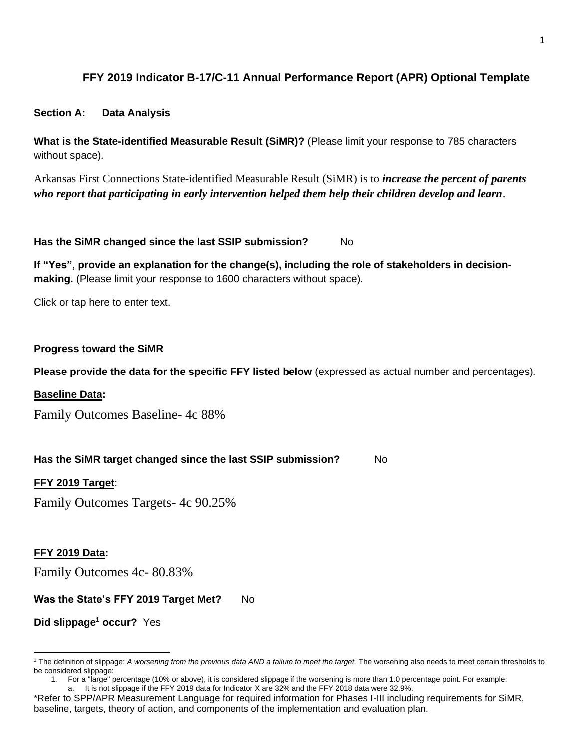# **FFY 2019 Indicator B-17/C-11 Annual Performance Report (APR) Optional Template**

#### **Section A: Data Analysis**

**What is the State-identified Measurable Result (SiMR)?** (Please limit your response to 785 characters without space)*.*

Arkansas First Connections State-identified Measurable Result (SiMR) is to *increase the percent of parents who report that participating in early intervention helped them help their children develop and learn*.

#### **Has the SiMR changed since the last SSIP submission?** No

**If "Yes", provide an explanation for the change(s), including the role of stakeholders in decisionmaking.** (Please limit your response to 1600 characters without space)*.*

Click or tap here to enter text.

#### **Progress toward the SiMR**

**Please provide the data for the specific FFY listed below** (expressed as actual number and percentages)*.*

#### **Baseline Data:**

Family Outcomes Baseline- 4c 88%

### **Has the SiMR target changed since the last SSIP submission?** No

#### **FFY 2019 Target**:

Family Outcomes Targets- 4c 90.25%

#### **FFY 2019 Data:**

Family Outcomes 4c- 80.83%

### **Was the State's FFY 2019 Target Met?** No

**Did slippage<sup>1</sup> occur?** Yes

<sup>&</sup>lt;sup>1</sup> The definition of slippage: A worsening from the previous data AND a failure to meet the target. The worsening also needs to meet certain thresholds to be considered slippage:

<sup>1.</sup> For a "large" percentage (10% or above), it is considered slippage if the worsening is more than 1.0 percentage point. For example:

It is not slippage if the FFY 2019 data for Indicator X are 32% and the FFY 2018 data were 32.9%.

<sup>\*</sup>Refer to SPP/APR Measurement Language for required information for Phases I-III including requirements for SiMR, baseline, targets, theory of action, and components of the implementation and evaluation plan.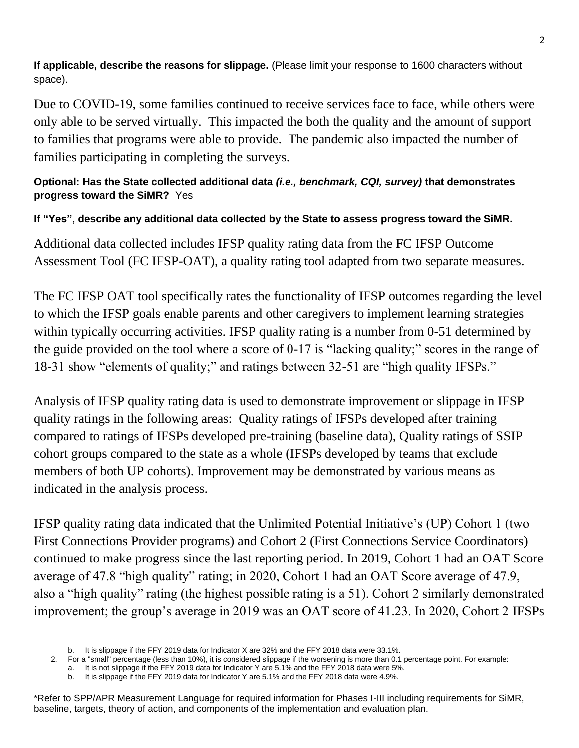**If applicable, describe the reasons for slippage.** (Please limit your response to 1600 characters without space).

Due to COVID-19, some families continued to receive services face to face, while others were only able to be served virtually. This impacted the both the quality and the amount of support to families that programs were able to provide. The pandemic also impacted the number of families participating in completing the surveys.

# **Optional: Has the State collected additional data** *(i.e., benchmark, CQI, survey)* **that demonstrates progress toward the SiMR?** Yes

# **If "Yes", describe any additional data collected by the State to assess progress toward the SiMR.**

Additional data collected includes IFSP quality rating data from the FC IFSP Outcome Assessment Tool (FC IFSP-OAT), a quality rating tool adapted from two separate measures.

The FC IFSP OAT tool specifically rates the functionality of IFSP outcomes regarding the level to which the IFSP goals enable parents and other caregivers to implement learning strategies within typically occurring activities. IFSP quality rating is a number from 0-51 determined by the guide provided on the tool where a score of 0-17 is "lacking quality;" scores in the range of 18-31 show "elements of quality;" and ratings between 32-51 are "high quality IFSPs."

Analysis of IFSP quality rating data is used to demonstrate improvement or slippage in IFSP quality ratings in the following areas: Quality ratings of IFSPs developed after training compared to ratings of IFSPs developed pre-training (baseline data), Quality ratings of SSIP cohort groups compared to the state as a whole (IFSPs developed by teams that exclude members of both UP cohorts). Improvement may be demonstrated by various means as indicated in the analysis process.

IFSP quality rating data indicated that the Unlimited Potential Initiative's (UP) Cohort 1 (two First Connections Provider programs) and Cohort 2 (First Connections Service Coordinators) continued to make progress since the last reporting period. In 2019, Cohort 1 had an OAT Score average of 47.8 "high quality" rating; in 2020, Cohort 1 had an OAT Score average of 47.9, also a "high quality" rating (the highest possible rating is a 51). Cohort 2 similarly demonstrated improvement; the group's average in 2019 was an OAT score of 41.23. In 2020, Cohort 2 IFSPs

b. It is slippage if the FFY 2019 data for Indicator X are 32% and the FFY 2018 data were 33.1%.

<sup>2.</sup> For a "small" percentage (less than 10%), it is considered slippage if the worsening is more than 0.1 percentage point. For example:

a. It is not slippage if the FFY 2019 data for Indicator Y are 5.1% and the FFY 2018 data were 5%.

b. It is slippage if the FFY 2019 data for Indicator Y are 5.1% and the FFY 2018 data were 4.9%.

<sup>\*</sup>Refer to SPP/APR Measurement Language for required information for Phases I-III including requirements for SiMR, baseline, targets, theory of action, and components of the implementation and evaluation plan.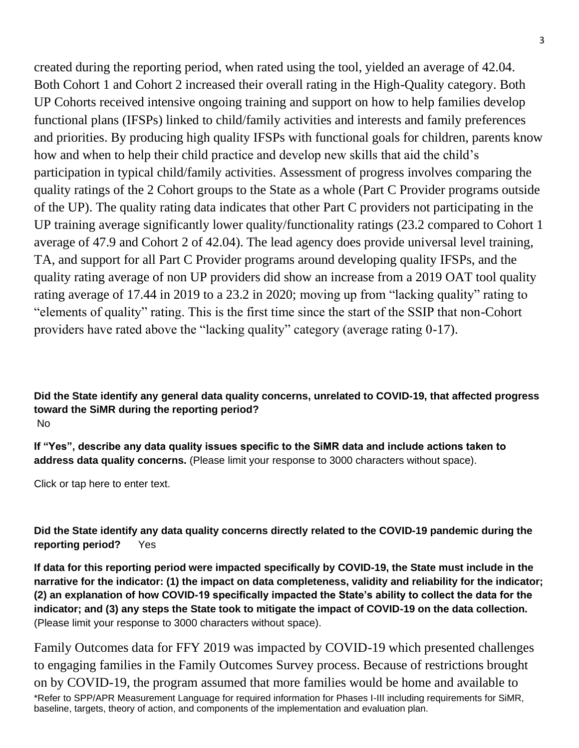created during the reporting period, when rated using the tool, yielded an average of 42.04. Both Cohort 1 and Cohort 2 increased their overall rating in the High-Quality category. Both UP Cohorts received intensive ongoing training and support on how to help families develop functional plans (IFSPs) linked to child/family activities and interests and family preferences and priorities. By producing high quality IFSPs with functional goals for children, parents know how and when to help their child practice and develop new skills that aid the child's participation in typical child/family activities. Assessment of progress involves comparing the quality ratings of the 2 Cohort groups to the State as a whole (Part C Provider programs outside of the UP). The quality rating data indicates that other Part C providers not participating in the UP training average significantly lower quality/functionality ratings (23.2 compared to Cohort 1 average of 47.9 and Cohort 2 of 42.04). The lead agency does provide universal level training, TA, and support for all Part C Provider programs around developing quality IFSPs, and the quality rating average of non UP providers did show an increase from a 2019 OAT tool quality rating average of 17.44 in 2019 to a 23.2 in 2020; moving up from "lacking quality" rating to "elements of quality" rating. This is the first time since the start of the SSIP that non-Cohort providers have rated above the "lacking quality" category (average rating 0-17).

### **Did the State identify any general data quality concerns, unrelated to COVID-19, that affected progress toward the SiMR during the reporting period?** No

**If "Yes", describe any data quality issues specific to the SiMR data and include actions taken to address data quality concerns.** (Please limit your response to 3000 characters without space).

Click or tap here to enter text.

**Did the State identify any data quality concerns directly related to the COVID-19 pandemic during the reporting period?** Yes

**If data for this reporting period were impacted specifically by COVID-19, the State must include in the narrative for the indicator: (1) the impact on data completeness, validity and reliability for the indicator; (2) an explanation of how COVID-19 specifically impacted the State's ability to collect the data for the indicator; and (3) any steps the State took to mitigate the impact of COVID-19 on the data collection.** (Please limit your response to 3000 characters without space).

\*Refer to SPP/APR Measurement Language for required information for Phases I-III including requirements for SiMR, baseline, targets, theory of action, and components of the implementation and evaluation plan. Family Outcomes data for FFY 2019 was impacted by COVID-19 which presented challenges to engaging families in the Family Outcomes Survey process. Because of restrictions brought on by COVID-19, the program assumed that more families would be home and available to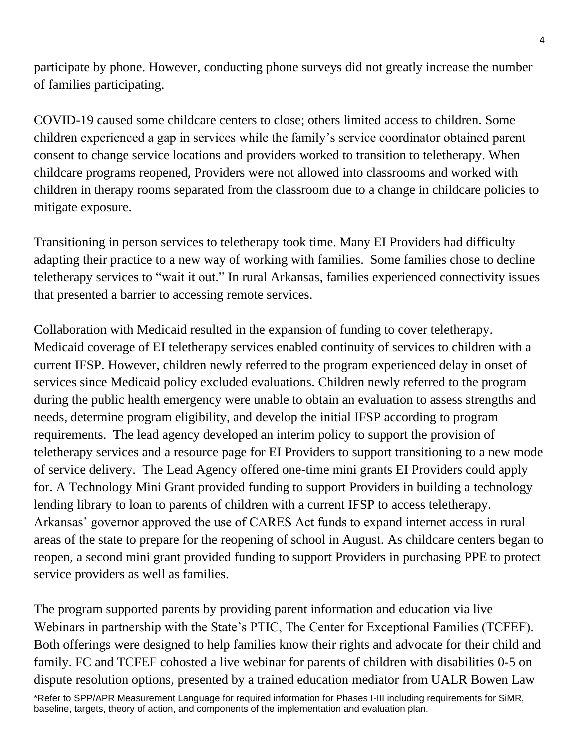participate by phone. However, conducting phone surveys did not greatly increase the number of families participating.

COVID-19 caused some childcare centers to close; others limited access to children. Some children experienced a gap in services while the family's service coordinator obtained parent consent to change service locations and providers worked to transition to teletherapy. When childcare programs reopened, Providers were not allowed into classrooms and worked with children in therapy rooms separated from the classroom due to a change in childcare policies to mitigate exposure.

Transitioning in person services to teletherapy took time. Many EI Providers had difficulty adapting their practice to a new way of working with families. Some families chose to decline teletherapy services to "wait it out." In rural Arkansas, families experienced connectivity issues that presented a barrier to accessing remote services.

Collaboration with Medicaid resulted in the expansion of funding to cover teletherapy. Medicaid coverage of EI teletherapy services enabled continuity of services to children with a current IFSP. However, children newly referred to the program experienced delay in onset of services since Medicaid policy excluded evaluations. Children newly referred to the program during the public health emergency were unable to obtain an evaluation to assess strengths and needs, determine program eligibility, and develop the initial IFSP according to program requirements. The lead agency developed an interim policy to support the provision of teletherapy services and a resource page for EI Providers to support transitioning to a new mode of service delivery. The Lead Agency offered one-time mini grants EI Providers could apply for. A Technology Mini Grant provided funding to support Providers in building a technology lending library to loan to parents of children with a current IFSP to access teletherapy. Arkansas' governor approved the use of CARES Act funds to expand internet access in rural areas of the state to prepare for the reopening of school in August. As childcare centers began to reopen, a second mini grant provided funding to support Providers in purchasing PPE to protect service providers as well as families.

The program supported parents by providing parent information and education via live Webinars in partnership with the State's PTIC, The Center for Exceptional Families (TCFEF). Both offerings were designed to help families know their rights and advocate for their child and family. FC and TCFEF cohosted a live webinar for parents of children with disabilities 0-5 on dispute resolution options, presented by a trained education mediator from UALR Bowen Law

\*Refer to SPP/APR Measurement Language for required information for Phases I-III including requirements for SiMR, baseline, targets, theory of action, and components of the implementation and evaluation plan.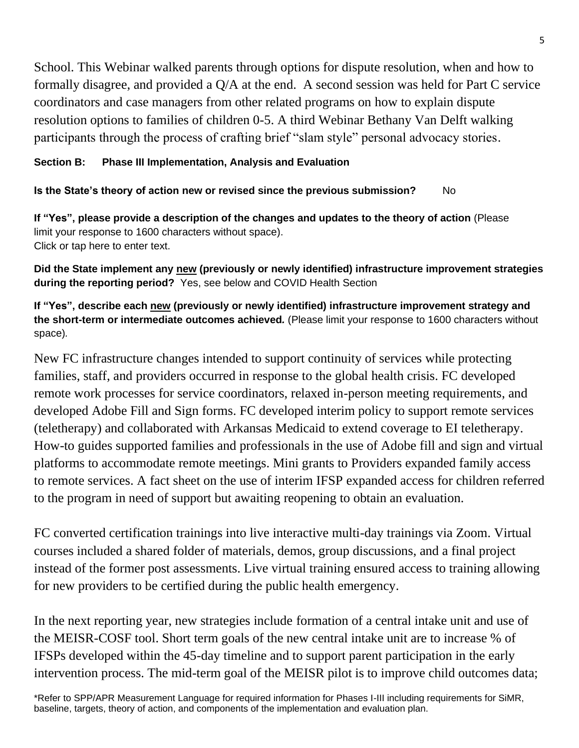School. This Webinar walked parents through options for dispute resolution, when and how to formally disagree, and provided a Q/A at the end. A second session was held for Part C service coordinators and case managers from other related programs on how to explain dispute resolution options to families of children 0-5. A third Webinar Bethany Van Delft walking participants through the process of crafting brief "slam style" personal advocacy stories.

## **Section B: Phase III Implementation, Analysis and Evaluation**

**Is the State's theory of action new or revised since the previous submission?** No

**If "Yes", please provide a description of the changes and updates to the theory of action** (Please limit your response to 1600 characters without space). Click or tap here to enter text.

**Did the State implement any new (previously or newly identified) infrastructure improvement strategies during the reporting period?** Yes, see below and COVID Health Section

**If "Yes", describe each new (previously or newly identified) infrastructure improvement strategy and the short-term or intermediate outcomes achieved***.* (Please limit your response to 1600 characters without space)*.*

New FC infrastructure changes intended to support continuity of services while protecting families, staff, and providers occurred in response to the global health crisis. FC developed remote work processes for service coordinators, relaxed in-person meeting requirements, and developed Adobe Fill and Sign forms. FC developed interim policy to support remote services (teletherapy) and collaborated with Arkansas Medicaid to extend coverage to EI teletherapy. How-to guides supported families and professionals in the use of Adobe fill and sign and virtual platforms to accommodate remote meetings. Mini grants to Providers expanded family access to remote services. A fact sheet on the use of interim IFSP expanded access for children referred to the program in need of support but awaiting reopening to obtain an evaluation.

FC converted certification trainings into live interactive multi-day trainings via Zoom. Virtual courses included a shared folder of materials, demos, group discussions, and a final project instead of the former post assessments. Live virtual training ensured access to training allowing for new providers to be certified during the public health emergency.

In the next reporting year, new strategies include formation of a central intake unit and use of the MEISR-COSF tool. Short term goals of the new central intake unit are to increase % of IFSPs developed within the 45-day timeline and to support parent participation in the early intervention process. The mid-term goal of the MEISR pilot is to improve child outcomes data;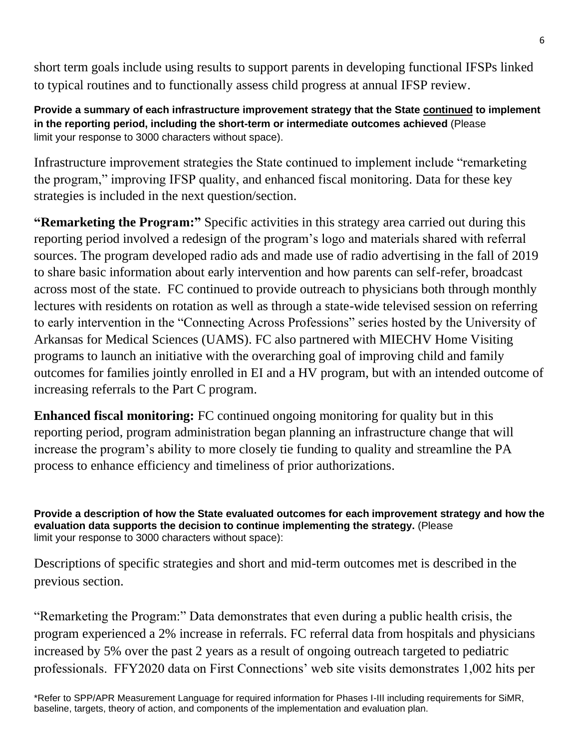short term goals include using results to support parents in developing functional IFSPs linked to typical routines and to functionally assess child progress at annual IFSP review.

**Provide a summary of each infrastructure improvement strategy that the State continued to implement in the reporting period, including the short-term or intermediate outcomes achieved** (Please limit your response to 3000 characters without space).

Infrastructure improvement strategies the State continued to implement include "remarketing the program," improving IFSP quality, and enhanced fiscal monitoring. Data for these key strategies is included in the next question/section.

**"Remarketing the Program:"** Specific activities in this strategy area carried out during this reporting period involved a redesign of the program's logo and materials shared with referral sources. The program developed radio ads and made use of radio advertising in the fall of 2019 to share basic information about early intervention and how parents can self-refer, broadcast across most of the state. FC continued to provide outreach to physicians both through monthly lectures with residents on rotation as well as through a state-wide televised session on referring to early intervention in the "Connecting Across Professions" series hosted by the University of Arkansas for Medical Sciences (UAMS). FC also partnered with MIECHV Home Visiting programs to launch an initiative with the overarching goal of improving child and family outcomes for families jointly enrolled in EI and a HV program, but with an intended outcome of increasing referrals to the Part C program.

**Enhanced fiscal monitoring:** FC continued ongoing monitoring for quality but in this reporting period, program administration began planning an infrastructure change that will increase the program's ability to more closely tie funding to quality and streamline the PA process to enhance efficiency and timeliness of prior authorizations.

**Provide a description of how the State evaluated outcomes for each improvement strategy and how the evaluation data supports the decision to continue implementing the strategy.** (Please limit your response to 3000 characters without space):

Descriptions of specific strategies and short and mid-term outcomes met is described in the previous section.

"Remarketing the Program:" Data demonstrates that even during a public health crisis, the program experienced a 2% increase in referrals. FC referral data from hospitals and physicians increased by 5% over the past 2 years as a result of ongoing outreach targeted to pediatric professionals. FFY2020 data on First Connections' web site visits demonstrates 1,002 hits per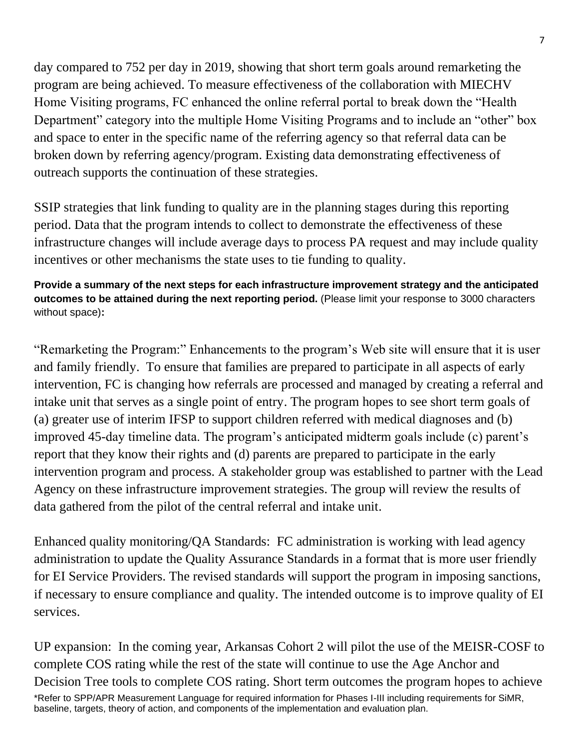day compared to 752 per day in 2019, showing that short term goals around remarketing the program are being achieved. To measure effectiveness of the collaboration with MIECHV Home Visiting programs, FC enhanced the online referral portal to break down the "Health Department" category into the multiple Home Visiting Programs and to include an "other" box and space to enter in the specific name of the referring agency so that referral data can be broken down by referring agency/program. Existing data demonstrating effectiveness of outreach supports the continuation of these strategies.

SSIP strategies that link funding to quality are in the planning stages during this reporting period. Data that the program intends to collect to demonstrate the effectiveness of these infrastructure changes will include average days to process PA request and may include quality incentives or other mechanisms the state uses to tie funding to quality.

**Provide a summary of the next steps for each infrastructure improvement strategy and the anticipated outcomes to be attained during the next reporting period.** (Please limit your response to 3000 characters without space)**:**

"Remarketing the Program:" Enhancements to the program's Web site will ensure that it is user and family friendly. To ensure that families are prepared to participate in all aspects of early intervention, FC is changing how referrals are processed and managed by creating a referral and intake unit that serves as a single point of entry. The program hopes to see short term goals of (a) greater use of interim IFSP to support children referred with medical diagnoses and (b) improved 45-day timeline data. The program's anticipated midterm goals include (c) parent's report that they know their rights and (d) parents are prepared to participate in the early intervention program and process. A stakeholder group was established to partner with the Lead Agency on these infrastructure improvement strategies. The group will review the results of data gathered from the pilot of the central referral and intake unit.

Enhanced quality monitoring/QA Standards: FC administration is working with lead agency administration to update the Quality Assurance Standards in a format that is more user friendly for EI Service Providers. The revised standards will support the program in imposing sanctions, if necessary to ensure compliance and quality. The intended outcome is to improve quality of EI services.

\*Refer to SPP/APR Measurement Language for required information for Phases I-III including requirements for SiMR, baseline, targets, theory of action, and components of the implementation and evaluation plan. UP expansion: In the coming year, Arkansas Cohort 2 will pilot the use of the MEISR-COSF to complete COS rating while the rest of the state will continue to use the Age Anchor and Decision Tree tools to complete COS rating. Short term outcomes the program hopes to achieve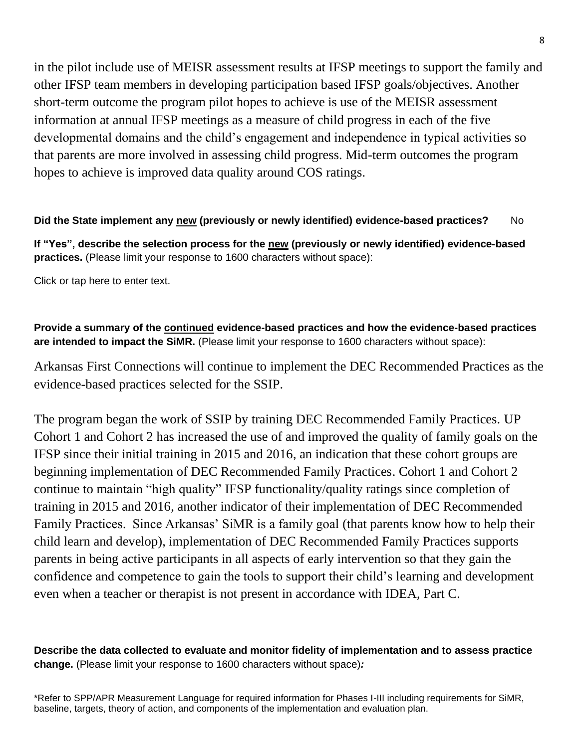in the pilot include use of MEISR assessment results at IFSP meetings to support the family and other IFSP team members in developing participation based IFSP goals/objectives. Another short-term outcome the program pilot hopes to achieve is use of the MEISR assessment information at annual IFSP meetings as a measure of child progress in each of the five developmental domains and the child's engagement and independence in typical activities so that parents are more involved in assessing child progress. Mid-term outcomes the program hopes to achieve is improved data quality around COS ratings.

## **Did the State implement any new (previously or newly identified) evidence-based practices?** No

**If "Yes", describe the selection process for the new (previously or newly identified) evidence-based practices.** (Please limit your response to 1600 characters without space):

Click or tap here to enter text.

## **Provide a summary of the continued evidence-based practices and how the evidence-based practices are intended to impact the SiMR.** (Please limit your response to 1600 characters without space):

Arkansas First Connections will continue to implement the DEC Recommended Practices as the evidence-based practices selected for the SSIP.

The program began the work of SSIP by training DEC Recommended Family Practices. UP Cohort 1 and Cohort 2 has increased the use of and improved the quality of family goals on the IFSP since their initial training in 2015 and 2016, an indication that these cohort groups are beginning implementation of DEC Recommended Family Practices. Cohort 1 and Cohort 2 continue to maintain "high quality" IFSP functionality/quality ratings since completion of training in 2015 and 2016, another indicator of their implementation of DEC Recommended Family Practices. Since Arkansas' SiMR is a family goal (that parents know how to help their child learn and develop), implementation of DEC Recommended Family Practices supports parents in being active participants in all aspects of early intervention so that they gain the confidence and competence to gain the tools to support their child's learning and development even when a teacher or therapist is not present in accordance with IDEA, Part C.

**Describe the data collected to evaluate and monitor fidelity of implementation and to assess practice change.** (Please limit your response to 1600 characters without space)*:*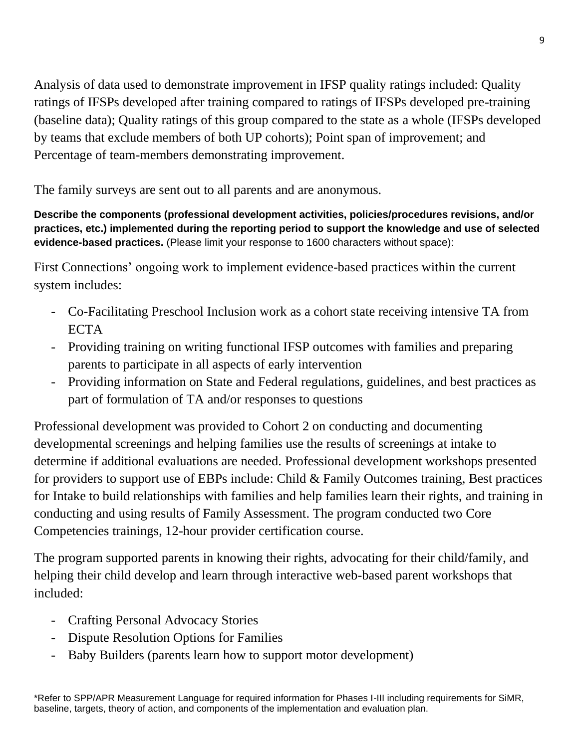Analysis of data used to demonstrate improvement in IFSP quality ratings included: Quality ratings of IFSPs developed after training compared to ratings of IFSPs developed pre-training (baseline data); Quality ratings of this group compared to the state as a whole (IFSPs developed by teams that exclude members of both UP cohorts); Point span of improvement; and Percentage of team-members demonstrating improvement.

The family surveys are sent out to all parents and are anonymous.

**Describe the components (professional development activities, policies/procedures revisions, and/or practices, etc.) implemented during the reporting period to support the knowledge and use of selected evidence-based practices.** (Please limit your response to 1600 characters without space):

First Connections' ongoing work to implement evidence-based practices within the current system includes:

- Co-Facilitating Preschool Inclusion work as a cohort state receiving intensive TA from **ECTA**
- Providing training on writing functional IFSP outcomes with families and preparing parents to participate in all aspects of early intervention
- Providing information on State and Federal regulations, guidelines, and best practices as part of formulation of TA and/or responses to questions

Professional development was provided to Cohort 2 on conducting and documenting developmental screenings and helping families use the results of screenings at intake to determine if additional evaluations are needed. Professional development workshops presented for providers to support use of EBPs include: Child & Family Outcomes training, Best practices for Intake to build relationships with families and help families learn their rights, and training in conducting and using results of Family Assessment. The program conducted two Core Competencies trainings, 12-hour provider certification course.

The program supported parents in knowing their rights, advocating for their child/family, and helping their child develop and learn through interactive web-based parent workshops that included:

- Crafting Personal Advocacy Stories
- Dispute Resolution Options for Families
- Baby Builders (parents learn how to support motor development)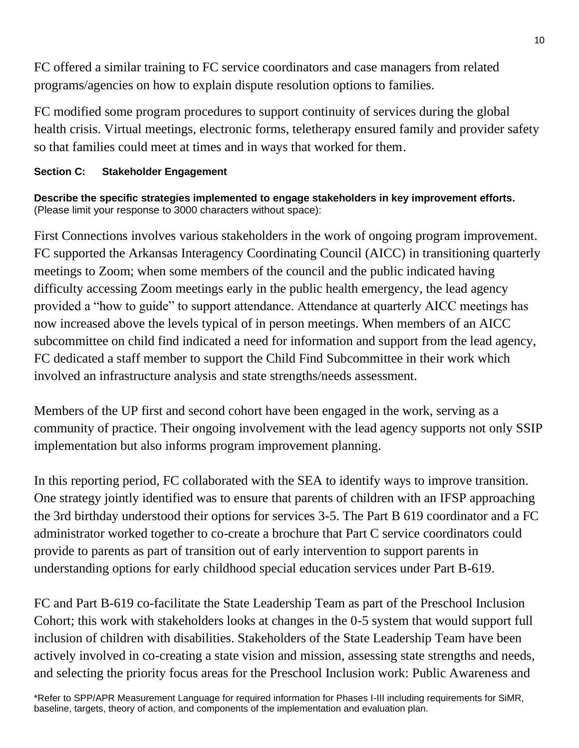FC offered a similar training to FC service coordinators and case managers from related programs/agencies on how to explain dispute resolution options to families.

FC modified some program procedures to support continuity of services during the global health crisis. Virtual meetings, electronic forms, teletherapy ensured family and provider safety so that families could meet at times and in ways that worked for them.

# **Section C: Stakeholder Engagement**

**Describe the specific strategies implemented to engage stakeholders in key improvement efforts.** (Please limit your response to 3000 characters without space):

First Connections involves various stakeholders in the work of ongoing program improvement. FC supported the Arkansas Interagency Coordinating Council (AICC) in transitioning quarterly meetings to Zoom; when some members of the council and the public indicated having difficulty accessing Zoom meetings early in the public health emergency, the lead agency provided a "how to guide" to support attendance. Attendance at quarterly AICC meetings has now increased above the levels typical of in person meetings. When members of an AICC subcommittee on child find indicated a need for information and support from the lead agency, FC dedicated a staff member to support the Child Find Subcommittee in their work which involved an infrastructure analysis and state strengths/needs assessment.

Members of the UP first and second cohort have been engaged in the work, serving as a community of practice. Their ongoing involvement with the lead agency supports not only SSIP implementation but also informs program improvement planning.

In this reporting period, FC collaborated with the SEA to identify ways to improve transition. One strategy jointly identified was to ensure that parents of children with an IFSP approaching the 3rd birthday understood their options for services 3-5. The Part B 619 coordinator and a FC administrator worked together to co-create a brochure that Part C service coordinators could provide to parents as part of transition out of early intervention to support parents in understanding options for early childhood special education services under Part B-619.

FC and Part B-619 co-facilitate the State Leadership Team as part of the Preschool Inclusion Cohort; this work with stakeholders looks at changes in the 0-5 system that would support full inclusion of children with disabilities. Stakeholders of the State Leadership Team have been actively involved in co-creating a state vision and mission, assessing state strengths and needs, and selecting the priority focus areas for the Preschool Inclusion work: Public Awareness and